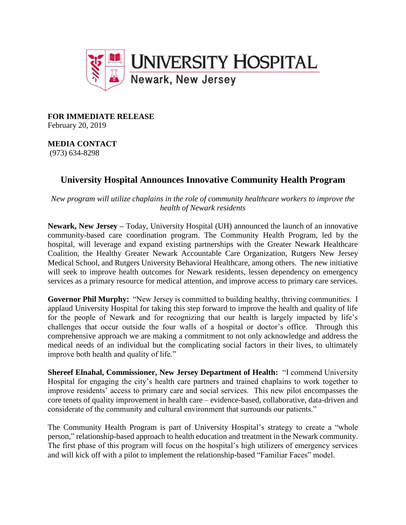

**FOR IMMEDIATE RELEASE** February 20, 2019

**MEDIA CONTACT** (973) 634-8298

## **University Hospital Announces Innovative Community Health Program**

*New program will utilize chaplains in the role of community healthcare workers to improve the health of Newark residents* 

**Newark, New Jersey –** Today, University Hospital (UH) announced the launch of an innovative community-based care coordination program. The Community Health Program, led by the hospital, will leverage and expand existing partnerships with the Greater Newark Healthcare Coalition, the Healthy Greater Newark Accountable Care Organization, Rutgers New Jersey Medical School, and Rutgers University Behavioral Healthcare, among others. The new initiative will seek to improve health outcomes for Newark residents, lessen dependency on emergency services as a primary resource for medical attention, and improve access to primary care services.

**Governor Phil Murphy:** "New Jersey is committed to building healthy, thriving communities. I applaud University Hospital for taking this step forward to improve the health and quality of life for the people of Newark and for recognizing that our health is largely impacted by life's challenges that occur outside the four walls of a hospital or doctor's office. Through this comprehensive approach we are making a commitment to not only acknowledge and address the medical needs of an individual but the complicating social factors in their lives, to ultimately improve both health and quality of life."

**Shereef Elnahal, Commissioner, New Jersey Department of Health:** "I commend University Hospital for engaging the city's health care partners and trained chaplains to work together to improve residents' access to primary care and social services. This new pilot encompasses the core tenets of quality improvement in health care – evidence-based, collaborative, data-driven and considerate of the community and cultural environment that surrounds our patients."

The Community Health Program is part of University Hospital's strategy to create a "whole person," relationship-based approach to health education and treatment in the Newark community. The first phase of this program will focus on the hospital's high utilizers of emergency services and will kick off with a pilot to implement the relationship-based "Familiar Faces" model.